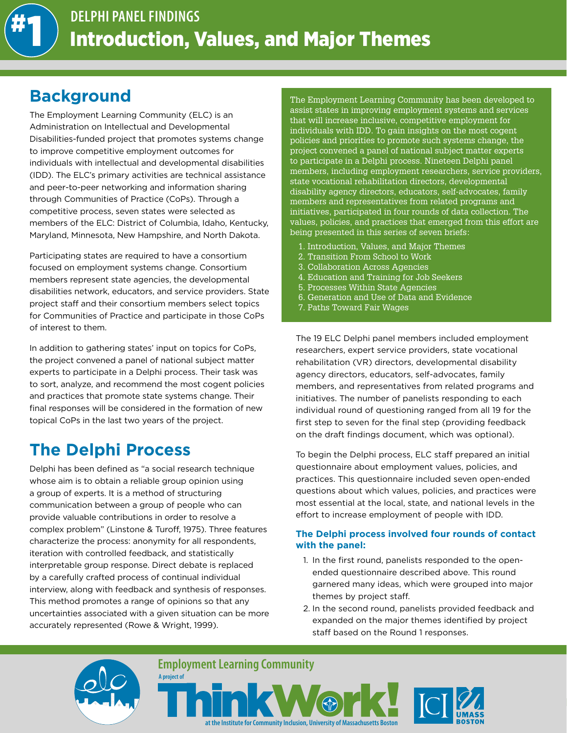

# **Background**

The Employment Learning Community (ELC) is an Administration on Intellectual and Developmental Disabilities-funded project that promotes systems change to improve competitive employment outcomes for individuals with intellectual and developmental disabilities (IDD). The ELC's primary activities are technical assistance and peer-to-peer networking and information sharing through Communities of Practice (CoPs). Through a competitive process, seven states were selected as members of the ELC: District of Columbia, Idaho, Kentucky, Maryland, Minnesota, New Hampshire, and North Dakota.

Participating states are required to have a consortium focused on employment systems change. Consortium members represent state agencies, the developmental disabilities network, educators, and service providers. State project staff and their consortium members select topics for Communities of Practice and participate in those CoPs of interest to them.

In addition to gathering states' input on topics for CoPs, the project convened a panel of national subject matter experts to participate in a Delphi process. Their task was to sort, analyze, and recommend the most cogent policies and practices that promote state systems change. Their final responses will be considered in the formation of new topical CoPs in the last two years of the project.

# **The Delphi Process**

Delphi has been defined as "a social research technique whose aim is to obtain a reliable group opinion using a group of experts. It is a method of structuring communication between a group of people who can provide valuable contributions in order to resolve a complex problem" (Linstone & Turoff, 1975). Three features characterize the process: anonymity for all respondents, iteration with controlled feedback, and statistically interpretable group response. Direct debate is replaced by a carefully crafted process of continual individual interview, along with feedback and synthesis of responses. This method promotes a range of opinions so that any uncertainties associated with a given situation can be more accurately represented (Rowe & Wright, 1999).

**A project of**

The Employment Learning Community has been developed to assist states in improving employment systems and services that will increase inclusive, competitive employment for individuals with IDD. To gain insights on the most cogent policies and priorities to promote such systems change, the project convened a panel of national subject matter experts to participate in a Delphi process. Nineteen Delphi panel members, including employment researchers, service providers, state vocational rehabilitation directors, developmental disability agency directors, educators, self-advocates, family members and representatives from related programs and initiatives, participated in four rounds of data collection. The values, policies, and practices that emerged from this effort are being presented in this series of seven briefs:

- 1. Introduction, Values, and Major Themes
- 2. Transition From School to Work
- 3. Collaboration Across Agencies
- 4. Education and Training for Job Seekers
- 5. Processes Within State Agencies
- 6. Generation and Use of Data and Evidence
- 7. Paths Toward Fair Wages

The 19 ELC Delphi panel members included employment researchers, expert service providers, state vocational rehabilitation (VR) directors, developmental disability agency directors, educators, self-advocates, family members, and representatives from related programs and initiatives. The number of panelists responding to each individual round of questioning ranged from all 19 for the first step to seven for the final step (providing feedback on the draft findings document, which was optional).

To begin the Delphi process, ELC staff prepared an initial questionnaire about employment values, policies, and practices. This questionnaire included seven open-ended questions about which values, policies, and practices were most essential at the local, state, and national levels in the effort to increase employment of people with IDD.

#### **The Delphi process involved four rounds of contact with the panel:**

- 1. In the first round, panelists responded to the openended questionnaire described above. This round garnered many ideas, which were grouped into major themes by project staff.
- 2. In the second round, panelists provided feedback and expanded on the major themes identified by project staff based on the Round 1 responses.



### **Employment Learning Community**

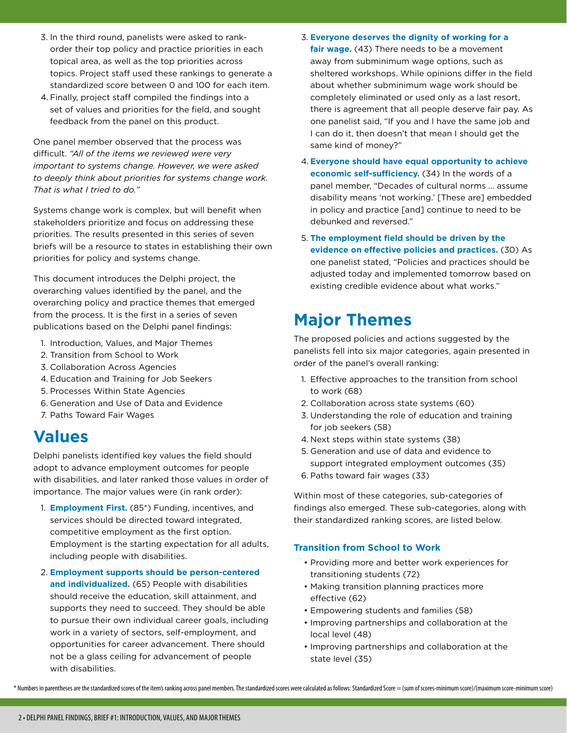- 3. In the third round, panelists were asked to rankorder their top policy and practice priorities in each topical area, as well as the top priorities across topics. Project staff used these rankings to generate a standardized score between 0 and 100 for each item.
- 4. Finally, project staff compiled the findings into a set of values and priorities for the field, and sought feedback from the panel on this product.

One panel member observed that the process was difficult. *"All of the items we reviewed were very important to systems change. However, we were asked to deeply think about priorities for systems change work. That is what I tried to do."*

Systems change work is complex, but will benefit when stakeholders prioritize and focus on addressing these priorities. The results presented in this series of seven briefs will be a resource to states in establishing their own priorities for policy and systems change.

This document introduces the Delphi project, the overarching values identified by the panel, and the overarching policy and practice themes that emerged from the process. It is the first in a series of seven publications based on the Delphi panel findings:

- 1. Introduction, Values, and Major Themes
- 2. Transition from School to Work
- 3. Collaboration Across Agencies
- 4. Education and Training for Job Seekers
- 5. Processes Within State Agencies
- 6. Generation and Use of Data and Evidence
- 7. Paths Toward Fair Wages

### **Values**

Delphi panelists identified key values the field should adopt to advance employment outcomes for people with disabilities, and later ranked those values in order of importance. The major values were (in rank order):

- 1. **Employment First.** (85\*) Funding, incentives, and services should be directed toward integrated, competitive employment as the first option. Employment is the starting expectation for all adults, including people with disabilities.
- 2. **Employment supports should be person-centered and individualized.** (65) People with disabilities should receive the education, skill attainment, and supports they need to succeed. They should be able to pursue their own individual career goals, including work in a variety of sectors, self-employment, and opportunities for career advancement. There should not be a glass ceiling for advancement of people with disabilities.
- 3. **Everyone deserves the dignity of working for a fair wage.** (43) There needs to be a movement away from subminimum wage options, such as sheltered workshops. While opinions differ in the field about whether subminimum wage work should be completely eliminated or used only as a last resort, there is agreement that all people deserve fair pay. As one panelist said, "If you and I have the same job and I can do it, then doesn't that mean I should get the same kind of money?"
- 4. **Everyone should have equal opportunity to achieve economic self-sufficiency.** (34) In the words of a panel member, "Decades of cultural norms … assume disability means 'not working.' [These are] embedded in policy and practice [and] continue to need to be debunked and reversed."
- 5. **The employment field should be driven by the evidence on effective policies and practices.** (30) As one panelist stated, "Policies and practices should be adjusted today and implemented tomorrow based on existing credible evidence about what works."

## **Major Themes**

The proposed policies and actions suggested by the panelists fell into six major categories, again presented in order of the panel's overall ranking:

- 1. Effective approaches to the transition from school to work (68)
- 2. Collaboration across state systems (60)
- 3. Understanding the role of education and training for job seekers (58)
- 4. Next steps within state systems (38)
- 5. Generation and use of data and evidence to support integrated employment outcomes (35)
- 6. Paths toward fair wages (33)

Within most of these categories, sub-categories of findings also emerged. These sub-categories, along with their standardized ranking scores, are listed below.

#### **Transition from School to Work**

- Providing more and better work experiences for transitioning students (72)
- Making transition planning practices more effective (62)
- Empowering students and families (58)
- Improving partnerships and collaboration at the local level (48)
- Improving partnerships and collaboration at the state level (35)

\* Numbers in parentheses are the standardized scores of the item's ranking across panel members. The standardized scores were calculated as follows: Standardized Score = (sum of scores-minimum score)/(maximum score-minimum